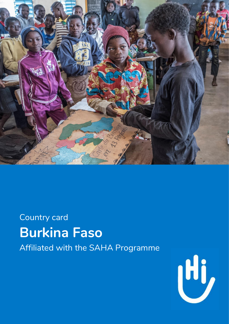

# Country card **Burkina Faso** Affiliated with the SAHA Programme

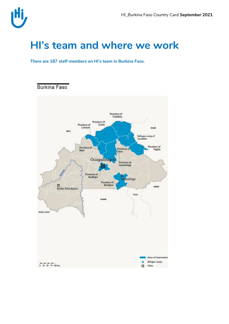### **HI's team and where we work**

**There are 187 staff members on HI's team in Burkina Faso.** 

**Burkina Faso** 

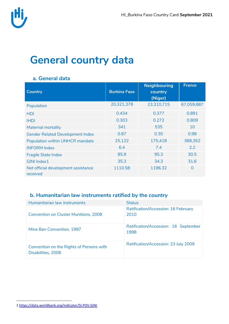![](_page_2_Picture_0.jpeg)

## **General country data**

| <b>Country</b>                                  | <b>Burkina Faso</b> | <b>Neighbouring</b><br>country<br>(Niger) | <b>France</b> |
|-------------------------------------------------|---------------------|-------------------------------------------|---------------|
| Population                                      | 20,321,378          | 23,310,715                                | 67,059,887    |
| <b>HDI</b>                                      | 0.434               | 0.377                                     | 0.891         |
| <b>IHDI</b>                                     | 0.303               | 0.272                                     | 0.809         |
| <b>Maternal mortality</b>                       | 341                 | 535                                       | 10            |
| <b>Gender Related Development Index</b>         | 0.87                | 0.30                                      | 0.98          |
| Population within UNHCR mandate                 | 25,122              | 175,418                                   | 368,352       |
| <b>INFORM Index</b>                             | 6.4                 | 7.4                                       | $2.2^{\circ}$ |
| <b>Fragile State Index</b>                      | 85.9                | 95.3                                      | 30.5          |
| <b>GINI Index1</b>                              | 35.3                | 34.3                                      | 31.6          |
| Net official development assistance<br>received | 1110.58             | 1196.32                                   | $\Omega$      |

#### **a. General data**

#### **b. Humanitarian law instruments ratified by the country**

| Humanitarian law instruments                                   | <b>Status</b>                                      |
|----------------------------------------------------------------|----------------------------------------------------|
| <b>Convention on Cluster Munitions, 2008</b>                   | <b>Ratification/Accession: 16 February</b><br>2010 |
| Mine Ban Convention, 1997                                      | Ratification/Accession: 16 September<br>1998       |
| Convention on the Rights of Persons with<br>Disabilities, 2006 | Ratification/Accession: 23 July 2009               |

 $\overline{a}$ 1 <https://data.worldbank.org/indicator/SI.POV.GINI>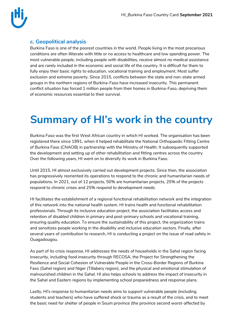![](_page_3_Picture_0.jpeg)

#### **c. Geopolitical analysis**

Burkina Faso is one of the poorest countries in the world. People living in the most precarious conditions are often illiterate with little or no access to healthcare and low spending power. The most vulnerable people, including people with disabilities, receive almost no medical assistance and are rarely included in the economic and social life of the country. It is difficult for them to fully enjoy their basic rights to education, vocational training and employment. Most suffer exclusion and extreme poverty. Since 2015, conflicts between the state and non-state armed groups in the northern regions of Burkina-Faso have increased insecurity. This permanent conflict situation has forced 1 million people from their homes in Burkina-Faso, depriving them of economic resources essential to their survival.

## **Summary of HI's work in the country**

Burkina Faso was the first West African country in which HI worked. The organisation has been registered there since 1991, when it helped rehabilitate the National Orthopaedic Fitting Centre of Burkina Faso (CNAOB) in partnership with the Ministry of Health. It subsequently supported the development and setting up of other rehabilitation and fitting centres across the country. Over the following years, HI went on to diversify its work in Burkina Faso.

Until 2015, HI almost exclusively carried out development projects. Since then, the association has progressively reoriented its operations to respond to the chronic and humanitarian needs of populations. In 2021, out of 12 projects, 50% are humanitarian projects, 25% of the projects respond to chronic crises and 25% respond to development needs.

HI facilitates the establishment of a regional functional rehabilitation network and the integration of this network into the national health system. HI trains health and functional rehabilitation professionals. Through its inclusive education project, the association facilitates access and retention of disabled children in primary and post-primary schools and vocational training, ensuring quality education. To ensure the sustainability of this project, the organization trains and sensitizes people working in the disability and inclusive education sectors. Finally, after several years of contribution to research, HI is conducting a project on the issue of road safety in Ouagadougou.

As part of its crisis response, HI addresses the needs of households in the Sahel region facing insecurity, including food insecurity through RECOSA, the Project for Strengthening the Resilience and Social Cohesion of Vulnerable People in the Cross-Border Regions of Burkina Faso (Sahel region) and Niger (Tillabery region), and the physical and emotional stimulation of malnourished children in the Sahel. HI also helps schools to address the impact of insecurity in the Sahel and Eastern regions by implementing school preparedness and response plans.

Lastly, HI's response to humanitarian needs aims to support vulnerable people (including students and teachers) who have suffered shock or trauma as a result of the crisis, and to meet the basic need for shelter of people in Soum province (the province second worst-affected by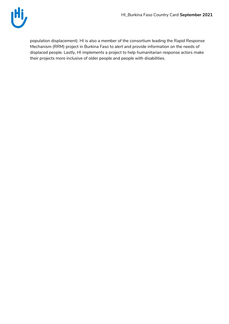![](_page_4_Picture_1.jpeg)

population displacement). HI is also a member of the consortium leading the Rapid Response Mechanism (RRM) project in Burkina Faso to alert and provide information on the needs of displaced people. Lastly, HI implements a project to help humanitarian response actors make their projects more inclusive of older people and people with disabilities.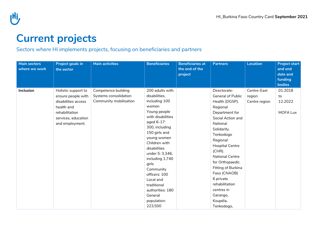![](_page_5_Picture_0.jpeg)

## **Current projects**

#### Sectors where HI implements projects, focusing on beneficiaries and partners

| <b>Main sectors</b><br>where we work | <b>Project goals in</b><br>the sector                                                                                                      | <b>Main activities</b>                                                 | <b>Beneficiaries</b>                                                                                                                                                                                                                                                                                                                                               | <b>Beneficiaries at</b><br>the end of the<br>project | <b>Partners</b>                                                                                                                                                                                                                                                                                                                                                                | Location                               | <b>Project start</b><br>and end<br>date and<br>funding<br><b>bodies</b> |
|--------------------------------------|--------------------------------------------------------------------------------------------------------------------------------------------|------------------------------------------------------------------------|--------------------------------------------------------------------------------------------------------------------------------------------------------------------------------------------------------------------------------------------------------------------------------------------------------------------------------------------------------------------|------------------------------------------------------|--------------------------------------------------------------------------------------------------------------------------------------------------------------------------------------------------------------------------------------------------------------------------------------------------------------------------------------------------------------------------------|----------------------------------------|-------------------------------------------------------------------------|
| Inclusion                            | Holistic support to<br>ensure people with<br>disabilities access<br>health and<br>rehabilitation<br>services, education<br>and employment. | Competence building<br>Systems consolidation<br>Community mobilisation | 200 adults with<br>disabilities,<br>including 100<br>women<br>Young people<br>with disabilities<br>aged 6-17:<br>300, including<br>150 girls and<br>young women<br>Children with<br>disabilities<br>under 5: 3,346,<br>including 1,740<br>girls<br>Community<br>officers: 100<br>Local and<br>traditional<br>authorities: 180<br>General<br>population:<br>223,500 |                                                      | Directorate-<br><b>General of Public</b><br>Health (DGSP).<br>Regional<br>Department for<br>Social Action and<br>National<br>Solidarity.<br>Tenkodogo<br>Regional<br><b>Hospital Centre</b><br>$(CHR)$ .<br><b>National Centre</b><br>for Orthopaedic<br>Fitting of Burkina<br>Faso (CNAOB)<br>6 private<br>rehabilitation<br>centres in<br>Garango,<br>Koupéla,<br>Tenkodogo, | Centre-East<br>region<br>Centre region | 01.2018<br>to<br>12.2022<br>MOFA Lux                                    |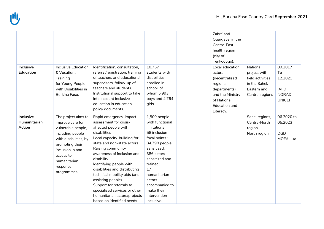|                                                   |                                                                                                                                                                                                          |                                                                                                                                                                                                                                                                                                                                                                                                                                                                   |                                                                                                                                                                                                                                                           | Zabré and<br>Ouargaye, in the<br>Centre-East<br>health region<br>(city of<br>Tenkodogo).                                                        |                                                                                                 |                                                                         |
|---------------------------------------------------|----------------------------------------------------------------------------------------------------------------------------------------------------------------------------------------------------------|-------------------------------------------------------------------------------------------------------------------------------------------------------------------------------------------------------------------------------------------------------------------------------------------------------------------------------------------------------------------------------------------------------------------------------------------------------------------|-----------------------------------------------------------------------------------------------------------------------------------------------------------------------------------------------------------------------------------------------------------|-------------------------------------------------------------------------------------------------------------------------------------------------|-------------------------------------------------------------------------------------------------|-------------------------------------------------------------------------|
| <b>Inclusive</b><br><b>Education</b>              | <b>Inclusive Education</b><br>& Vocational<br>Training<br>for Young People<br>with Disabilities in<br>Burkina Faso.                                                                                      | Identification, consultation,<br>referral/registration, training<br>of teachers and educational<br>supervisors, follow-up of<br>teachers and students.<br>Institutional support to take<br>into account inclusive<br>education in education<br>policy documents.                                                                                                                                                                                                  | 10,757<br>students with<br>disabilities<br>enrolled in<br>school, of<br>whom 5,993<br>boys and 4,764<br>girls.                                                                                                                                            | Local education<br>actors<br>(decentralised<br>regional<br>departments)<br>and the Ministry<br>of National<br><b>Education and</b><br>Literacy. | National<br>project with<br>field activities<br>in the Sahel,<br>Eastern and<br>Central regions | 09.2017<br>To<br>12.2021<br><b>AFD</b><br><b>NORAD</b><br><b>UNICEF</b> |
| <b>Inclusive</b><br>Humanitarian<br><b>Action</b> | The project aims to<br>improve care for<br>vulnerable people,<br>including people<br>with disabilities, by<br>promoting their<br>inclusion in and<br>access to<br>humanitarian<br>response<br>programmes | Rapid emergency-impact<br>assessment for crisis-<br>affected people with<br>disabilities<br>Local capacity-building for<br>state and non-state actors<br>Raising community<br>awareness of inclusion and<br>disability<br>Identifying people with<br>disabilities and distributing<br>technical mobility aids (and<br>assisting people)<br>Support for referrals to<br>specialised services or other<br>humanitarian actors/projects<br>based on identified needs | 1,500 people<br>with functional<br>limitations<br>58 inclusion<br>focal points;<br>34,798 people<br>sensitized;<br>386 actors<br>sensitized and<br>trained;<br>17<br>humanitarian<br>actors<br>accompanied to<br>make their<br>intervention<br>inclusive. |                                                                                                                                                 | Sahel regions,<br>Centre-North<br>region<br>North region                                        | 06.2020 to<br>05.2023<br><b>DGD</b><br>MOFA Lux                         |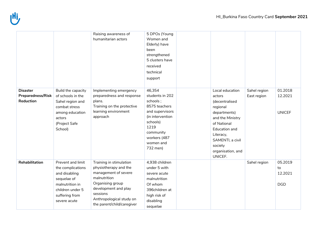|                                                          |                                                                                                                                                 | Raising awareness of<br>humanitarian actors                                                                                                                                                                | 5 DPOs (Young<br>Women and<br>Elderly) have<br>been<br>strengthened<br>5 clusters have<br>received<br>technical<br>support                                              |                                                                                                                                                                                                                |                             |                                        |
|----------------------------------------------------------|-------------------------------------------------------------------------------------------------------------------------------------------------|------------------------------------------------------------------------------------------------------------------------------------------------------------------------------------------------------------|-------------------------------------------------------------------------------------------------------------------------------------------------------------------------|----------------------------------------------------------------------------------------------------------------------------------------------------------------------------------------------------------------|-----------------------------|----------------------------------------|
| <b>Disaster</b><br><b>Preparedness/Risk</b><br>Reduction | Build the capacity<br>of schools in the<br>Sahel region and<br>combat stress<br>among education<br>actors<br>(Project Safe<br>School)           | Implementing emergency<br>preparedness and response<br>plans.<br>Training on the protective<br>learning environment<br>approach                                                                            | 46,354<br>students in 202<br>schools;<br>8575 teachers<br>and supervisors<br>(in intervention<br>schools)<br>1219<br>community<br>workers (487<br>women and<br>732 men) | Local education<br>actors<br>(decentralised<br>regional<br>departments)<br>and the Ministry<br>of National<br><b>Education and</b><br>Literacy,<br>SAMENTI, a civil<br>society<br>organisation, and<br>UNICEF. | Sahel region<br>East region | 01.2018<br>12.2021<br><b>UNICEF</b>    |
| Rehabilitation                                           | Prevent and limit<br>the complications<br>and disabling<br>sequelae of<br>malnutrition in<br>children under 5<br>suffering from<br>severe acute | Training in stimulation<br>physiotherapy and the<br>management of severe<br>malnutrition<br>Organising group<br>development and play<br>sessions<br>Anthropological study on<br>the parent/child/caregiver | 4,938 children<br>under 5 with<br>severe acute<br>malnutrition<br>Of whom<br>396children at<br>high risk of<br>disabling<br>sequelae                                    |                                                                                                                                                                                                                | Sahel region                | 05.2019<br>to<br>12.2021<br><b>DGD</b> |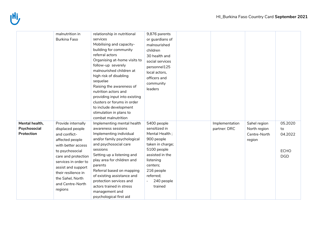|                                              | malnutrition in<br><b>Burkina Faso</b>                                                                                                                                                                                                                             | relationship in nutritional<br>services<br>Mobilising and capacity-<br>building for community<br>referral actors<br>Organising at-home visits to<br>follow-up severely<br>malnourished children at<br>high risk of disabling<br>sequelae<br>Raising the awareness of<br>nutrition actors and<br>providing input into existing<br>clusters or forums in order<br>to include development<br>stimulation in plans to<br>combat malnutrition | 9,876 parents<br>or guardians of<br>malnourished<br>children<br>30 health and<br>social services<br>personnel125<br>local actors,<br>officers and<br>community<br>leaders                       |                                |                                                        |                                                       |
|----------------------------------------------|--------------------------------------------------------------------------------------------------------------------------------------------------------------------------------------------------------------------------------------------------------------------|------------------------------------------------------------------------------------------------------------------------------------------------------------------------------------------------------------------------------------------------------------------------------------------------------------------------------------------------------------------------------------------------------------------------------------------|-------------------------------------------------------------------------------------------------------------------------------------------------------------------------------------------------|--------------------------------|--------------------------------------------------------|-------------------------------------------------------|
| Mental health,<br>Psychosocial<br>Protection | Provide internally<br>displaced people<br>and conflict-<br>affected people<br>with better access<br>to psychosocial<br>care and protection<br>services in order to<br>assist and support<br>their resilience in<br>the Sahel, North<br>and Centre-North<br>regions | Implementing mental health<br>awareness sessions<br>Implementing individual<br>and/or family psychological<br>and psychosocial care<br>sessions<br>Setting up a listening and<br>play area for children and<br>parents<br>Referral based on mapping<br>of existing assistance and<br>protection services and<br>actors trained in stress<br>management and<br>psychological first aid                                                    | 5400 people<br>sensitized in<br>Mental Health;<br>900 people<br>taken in charge;<br>5100 people<br>assisted in the<br>listening<br>centers;<br>216 people<br>referred;<br>240 people<br>trained | Implementation<br>partner: DRC | Sahel region<br>North region<br>Centre-North<br>region | 05.2020<br>to<br>04.2022<br><b>ECHO</b><br><b>DGD</b> |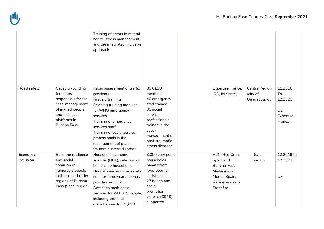![](_page_9_Picture_1.jpeg)

|                       |                                                                                                                                                  | Training of actors in mental<br>health, stress management<br>and the integrated, inclusive<br>approach                                                                                                                                                                            |                                                                                                                                                                               |                                                                                                              |                                           |                                                              |
|-----------------------|--------------------------------------------------------------------------------------------------------------------------------------------------|-----------------------------------------------------------------------------------------------------------------------------------------------------------------------------------------------------------------------------------------------------------------------------------|-------------------------------------------------------------------------------------------------------------------------------------------------------------------------------|--------------------------------------------------------------------------------------------------------------|-------------------------------------------|--------------------------------------------------------------|
| Road safety           | Capacity-building<br>for actors<br>responsible for the<br>case-management<br>of injured people<br>and technical<br>platforms in<br>Burkina Faso. | Rapid assessment of traffic<br>accidents<br>First aid training<br>Revising training modules<br>for WHO emergency<br>services<br>Training of emergency<br>services staff<br>Training of social service<br>professionals in the<br>management of post-<br>traumatic stress disorder | 80 CLSU<br>members<br>40 emergency<br>staff trained<br>30 social<br>service<br>professionals<br>trained in the<br>case-<br>management of<br>post-traumatic<br>stress disorder | Expertise France,<br>IRD, Icl Santé,                                                                         | Centre Region<br>(city of<br>Ouagadougou) | 11.2018<br>To<br>12.2021<br><b>UE</b><br>Expertise<br>France |
| Economic<br>inclusion | Build the resilience<br>and social<br>cohesion of<br>vulnerable people<br>in the cross-border<br>regions of Burkina<br>Faso (Sahel region)       | Household economy<br>analysis (HEA), selection of<br>beneficiary households<br>Hunger season social safety<br>nets for three years for very<br>poor households<br>Access to basic social<br>services for 741,045 people,<br>including prenatal<br>consultations for 26,690        | 3,000 very poor<br>households<br>benefit from<br>food security<br>assistance<br>27 health and<br>social<br>promotion<br>centres (CSPS)<br>supported                           | A2N, Red Cross<br>Spain and<br>Burkina-Faso,<br>Médecins du<br>Monde Spain,<br>Vétérinaire sans<br>Frontière | Sahel<br>region                           | 12.2019 to<br>12.2023<br><b>UE</b>                           |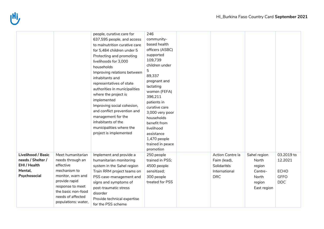|                                                                                    |                                                                                                                                                                                                | people, curative care for<br>637,595 people, and access<br>to malnutrition curative care<br>for 5,484 children under 5<br>Protecting and promoting<br>livelihoods for 3,000<br>households<br>Improving relations between<br>inhabitants and<br>representatives of state<br>authorities in municipalities<br>where the project is<br>implemented<br>Improving social cohesion,<br>and conflict prevention and<br>management for the<br>inhabitants of the<br>municipalities where the<br>project is implemented | 246<br>community-<br>based health<br>officers (ASBC)<br>supported<br>109,739<br>children under<br>5<br>89,337<br>pregnant and<br>lactating<br>women (FEFA)<br>396,211<br>patients in<br>curative care<br>3,000 very poor<br>households<br>benefit from<br>livelihood<br>assistance<br>1,470 people<br>trained in peace<br>promotion |                                                                                |                                                                              |                                                                   |
|------------------------------------------------------------------------------------|------------------------------------------------------------------------------------------------------------------------------------------------------------------------------------------------|----------------------------------------------------------------------------------------------------------------------------------------------------------------------------------------------------------------------------------------------------------------------------------------------------------------------------------------------------------------------------------------------------------------------------------------------------------------------------------------------------------------|-------------------------------------------------------------------------------------------------------------------------------------------------------------------------------------------------------------------------------------------------------------------------------------------------------------------------------------|--------------------------------------------------------------------------------|------------------------------------------------------------------------------|-------------------------------------------------------------------|
| Livelihood / Basic<br>needs / Shelter /<br>EHI / Health<br>Mental,<br>Psychosocial | Meet humanitarian<br>needs through an<br>effective<br>mechanism to<br>monitor, warn and<br>provide rapid<br>response to meet<br>the basic non-food<br>needs of affected<br>populations: water, | Implement and provide a<br>humanitarian monitoring<br>system in the Sahel region<br>Train RRM project teams on<br>PSS case-management and<br>signs and symptoms of<br>post-traumatic stress<br>disorder<br>Provide technical expertise<br>for the PSS scheme                                                                                                                                                                                                                                                   | 250 people<br>trained in PSS;<br>4500 people<br>sensitized;<br>300 people<br>treated for PSS                                                                                                                                                                                                                                        | Action Contre la<br>Faim (lead),<br>Solidarités<br>International<br><b>DRC</b> | Sahel region<br>North<br>region<br>Centre-<br>North<br>region<br>East region | 03.2019 to<br>12.2021<br><b>ECHO</b><br><b>GFFO</b><br><b>DDC</b> |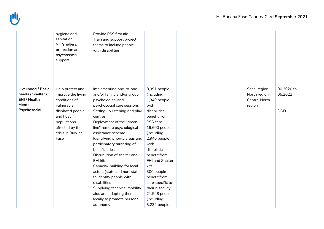![](_page_11_Picture_1.jpeg)

|                           | hygiene and<br>sanitation,<br>NFI/shelters,<br>protection and<br>psychosocial<br>support. | Provide PSS first aid<br>Train and support project<br>teams to include people<br>with disabilities |                        |  |              |            |
|---------------------------|-------------------------------------------------------------------------------------------|----------------------------------------------------------------------------------------------------|------------------------|--|--------------|------------|
| <b>Livelihood / Basic</b> | Help protect and                                                                          | Implementing one-to-one                                                                            | 8,991 people           |  | Sahel region | 06.2020 to |
| needs / Shelter /         | improve the living                                                                        | and/or family and/or group                                                                         | (including             |  | North region | 05.2022    |
| EHI / Health              | conditions of                                                                             | psychological and                                                                                  | 1,349 people           |  | Centre-North |            |
| Mental,                   | vulnerable                                                                                | psychosocial care sessions                                                                         | with                   |  | region       |            |
| Psychosocial              | displaced people                                                                          | Setting up listening and play                                                                      | disabilities)          |  |              | <b>DGD</b> |
|                           | and host                                                                                  | centres                                                                                            | benefit from           |  |              |            |
|                           | populations                                                                               | Deployment of the "green                                                                           | PSS care               |  |              |            |
|                           | affected by the                                                                           | line" remote psychological                                                                         | 19,600 people          |  |              |            |
|                           | crisis in Burkina                                                                         | assistance scheme                                                                                  | (including             |  |              |            |
|                           | Faso                                                                                      | Identifying priority areas and                                                                     | 2,940 people           |  |              |            |
|                           |                                                                                           | participatory targeting of                                                                         | with                   |  |              |            |
|                           |                                                                                           | beneficiaries                                                                                      | disabilities)          |  |              |            |
|                           |                                                                                           | Distribution of shelter and                                                                        | benefit from           |  |              |            |
|                           |                                                                                           | <b>EHI kits</b>                                                                                    | <b>EHI and Shelter</b> |  |              |            |
|                           |                                                                                           | Capacity-building for local                                                                        | kits                   |  |              |            |
|                           |                                                                                           | actors (state and non-state)                                                                       | 300 people             |  |              |            |
|                           |                                                                                           | to identify people with                                                                            | benefit from           |  |              |            |
|                           |                                                                                           | disabilities                                                                                       | care specific to       |  |              |            |
|                           |                                                                                           | Supplying technical mobility                                                                       | their disability       |  |              |            |
|                           |                                                                                           | aids and adapting them                                                                             | 21,548 people          |  |              |            |
|                           |                                                                                           | locally to promote personal                                                                        | (including             |  |              |            |
|                           |                                                                                           | autonomy                                                                                           | 3,232 people           |  |              |            |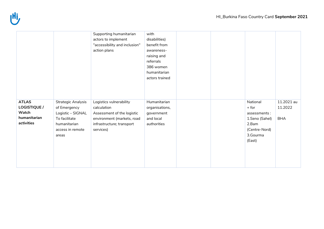![](_page_12_Picture_1.jpeg)

|                                                                     |                                                                                                                              | Supporting humanitarian<br>actors to implement<br>"accessibility and inclusion"<br>action plans                                              | with<br>disabilities)<br>benefit from<br>awareness-<br>raising and<br>referrals<br>386 women<br>humanitarian<br>actors trained |  |                                                                                                       |                                     |
|---------------------------------------------------------------------|------------------------------------------------------------------------------------------------------------------------------|----------------------------------------------------------------------------------------------------------------------------------------------|--------------------------------------------------------------------------------------------------------------------------------|--|-------------------------------------------------------------------------------------------------------|-------------------------------------|
| <b>ATLAS</b><br>LOGISTIQUE /<br>Watch<br>humanitarian<br>activities | <b>Strategic Analysis</b><br>of Emergency<br>Logistic - SIGNAL<br>To facilitate<br>humanitarian<br>access in remote<br>areas | Logistics vulnerability<br>calculation<br>Assessment of the logistic<br>environment (markets, road<br>infrastructure; transport<br>services) | Humanitarian<br>organisations,<br>government<br>and local<br>authorities                                                       |  | National<br>$+$ for<br>assessments:<br>1.Seno (Sahel)<br>2.Bam<br>(Centre-Nord)<br>3.Gourma<br>(East) | 11.2021 au<br>11.2022<br><b>BHA</b> |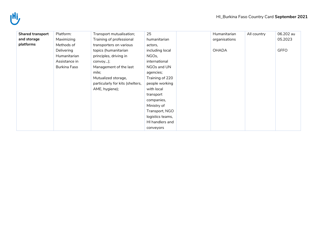| <b>Shared transport</b> | Platform:     | Transport mutualisation;         | 25               | Humanitarian  | All country | 06.202 au   |
|-------------------------|---------------|----------------------------------|------------------|---------------|-------------|-------------|
| and storage             | Maximizing    | Training of professional         | humanitarian     | organisations |             | 05.2023     |
| platforms               | Methods of    | transporters on various          | actors,          |               |             |             |
|                         | Delivering    | topics (humanitarian             | including local  | <b>OHADA</b>  |             | <b>GFFO</b> |
|                         | Humanitarian  | principles, driving in           | NGOs,            |               |             |             |
|                         | Assistance in | convoy);                         | international    |               |             |             |
|                         | Burkina Faso  | Management of the last           | NGOs and UN      |               |             |             |
|                         |               | mile;                            | agencies;        |               |             |             |
|                         |               | Mutualized storage,              | Training of 220  |               |             |             |
|                         |               | particularly for kits (shelters, | people working   |               |             |             |
|                         |               | AME, hygiene);                   | with local       |               |             |             |
|                         |               |                                  | transport        |               |             |             |
|                         |               |                                  | companies,       |               |             |             |
|                         |               |                                  | Ministry of      |               |             |             |
|                         |               |                                  | Transport, NGO   |               |             |             |
|                         |               |                                  | logistics teams, |               |             |             |
|                         |               |                                  | HI handlers and  |               |             |             |
|                         |               |                                  | conveyors        |               |             |             |